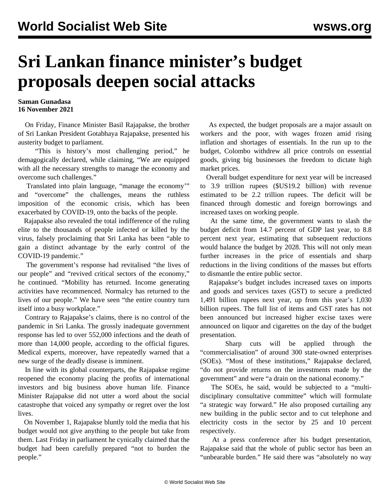## **Sri Lankan finance minister's budget proposals deepen social attacks**

## **Saman Gunadasa 16 November 2021**

 On Friday, Finance Minister Basil Rajapakse, the brother of Sri Lankan President Gotabhaya Rajapakse, presented his austerity budget to parliament.

 "This is history's most challenging period," he demagogically declared, while claiming, "We are equipped with all the necessary strengths to manage the economy and overcome such challenges."

 Translated into plain language, "manage the economy'" and "overcome" the challenges, means the ruthless imposition of the economic crisis, which has been exacerbated by COVID-19, onto the backs of the people.

 Rajapakse also revealed the total indifference of the ruling elite to the thousands of people infected or killed by the virus, falsely proclaiming that Sri Lanka has been "able to gain a distinct advantage by the early control of the COVID-19 pandemic."

 The government's response had revitalised "the lives of our people" and "revived critical sectors of the economy," he continued. "Mobility has returned. Income generating activities have recommenced. Normalcy has returned to the lives of our people." We have seen "the entire country turn itself into a busy workplace."

 Contrary to Rajapakse's claims, there is no control of the pandemic in Sri Lanka. The grossly inadequate government response has led to over 552,000 infections and the death of more than 14,000 people, according to the official figures. Medical experts, moreover, have repeatedly warned that a new surge of the deadly disease is imminent.

 In line with its global counterparts, the Rajapakse regime reopened the economy placing the profits of international investors and big business above human life. Finance Minister Rajapakse did not utter a word about the social catastrophe that voiced any sympathy or regret over the lost lives.

 On November 1, Rajapakse bluntly told the media that his budget would not give anything to the people but [take from](/en/articles/2021/11/10/slec-n10.html) [them](/en/articles/2021/11/10/slec-n10.html). Last Friday in parliament he cynically claimed that the budget had been carefully prepared "not to burden the people."

 As expected, the budget proposals are a major assault on workers and the poor, with wages frozen amid rising inflation and shortages of essentials. In the run up to the budget, Colombo withdrew all price controls on essential goods, giving big businesses the freedom to dictate high market prices.

 Overall budget expenditure for next year will be increased to 3.9 trillion rupees (\$US19.2 billion) with revenue estimated to be 2.2 trillion rupees. The deficit will be financed through domestic and foreign borrowings and increased taxes on working people.

 At the same time, the government wants to slash the budget deficit from 14.7 percent of GDP last year, to 8.8 percent next year, estimating that subsequent reductions would balance the budget by 2028. This will not only mean further increases in the price of essentials and sharp reductions in the living conditions of the masses but efforts to dismantle the entire public sector.

 Rajapakse's budget includes increased taxes on imports and goods and services taxes (GST) to secure a predicted 1,491 billion rupees next year, up from this year's 1,030 billion rupees. The full list of items and GST rates has not been announced but increased higher excise taxes were announced on liquor and cigarettes on the day of the budget presentation.

 Sharp cuts will be applied through the "commercialisation" of around 300 state-owned enterprises (SOEs). "Most of these institutions," Rajapakse declared, "do not provide returns on the investments made by the government" and were "a drain on the national economy."

 The SOEs, he said, would be subjected to a "multidisciplinary consultative committee" which will formulate "a strategic way forward." He also proposed curtailing any new building in the public sector and to cut telephone and electricity costs in the sector by 25 and 10 percent respectively.

 At a press conference after his budget presentation, Rajapakse said that the whole of public sector has been an "unbearable burden." He said there was "absolutely no way